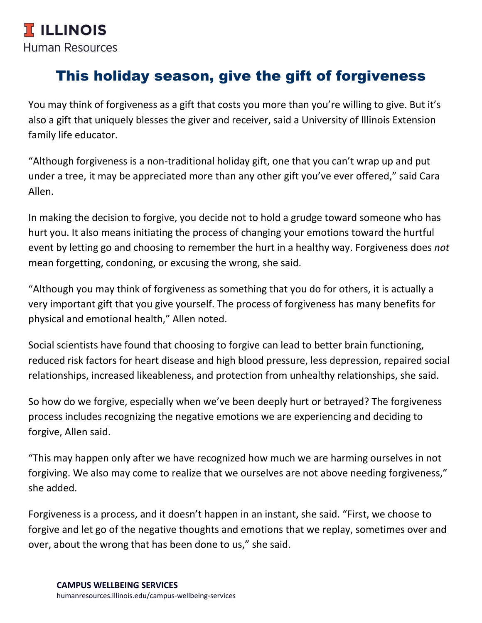## This holiday season, give the gift of forgiveness

You may think of forgiveness as a gift that costs you more than you're willing to give. But it's also a gift that uniquely blesses the giver and receiver, said a University of Illinois Extension family life educator.

"Although forgiveness is a non-traditional holiday gift, one that you can't wrap up and put under a tree, it may be appreciated more than any other gift you've ever offered," said Cara Allen.

In making the decision to forgive, you decide not to hold a grudge toward someone who has hurt you. It also means initiating the process of changing your emotions toward the hurtful event by letting go and choosing to remember the hurt in a healthy way. Forgiveness does *not*  mean forgetting, condoning, or excusing the wrong, she said.

"Although you may think of forgiveness as something that you do for others, it is actually a very important gift that you give yourself. The process of forgiveness has many benefits for physical and emotional health," Allen noted.

Social scientists have found that choosing to forgive can lead to better brain functioning, reduced risk factors for heart disease and high blood pressure, less depression, repaired social relationships, increased likeableness, and protection from unhealthy relationships, she said.

So how do we forgive, especially when we've been deeply hurt or betrayed? The forgiveness process includes recognizing the negative emotions we are experiencing and deciding to forgive, Allen said.

"This may happen only after we have recognized how much we are harming ourselves in not forgiving. We also may come to realize that we ourselves are not above needing forgiveness," she added.

Forgiveness is a process, and it doesn't happen in an instant, she said. "First, we choose to forgive and let go of the negative thoughts and emotions that we replay, sometimes over and over, about the wrong that has been done to us," she said.